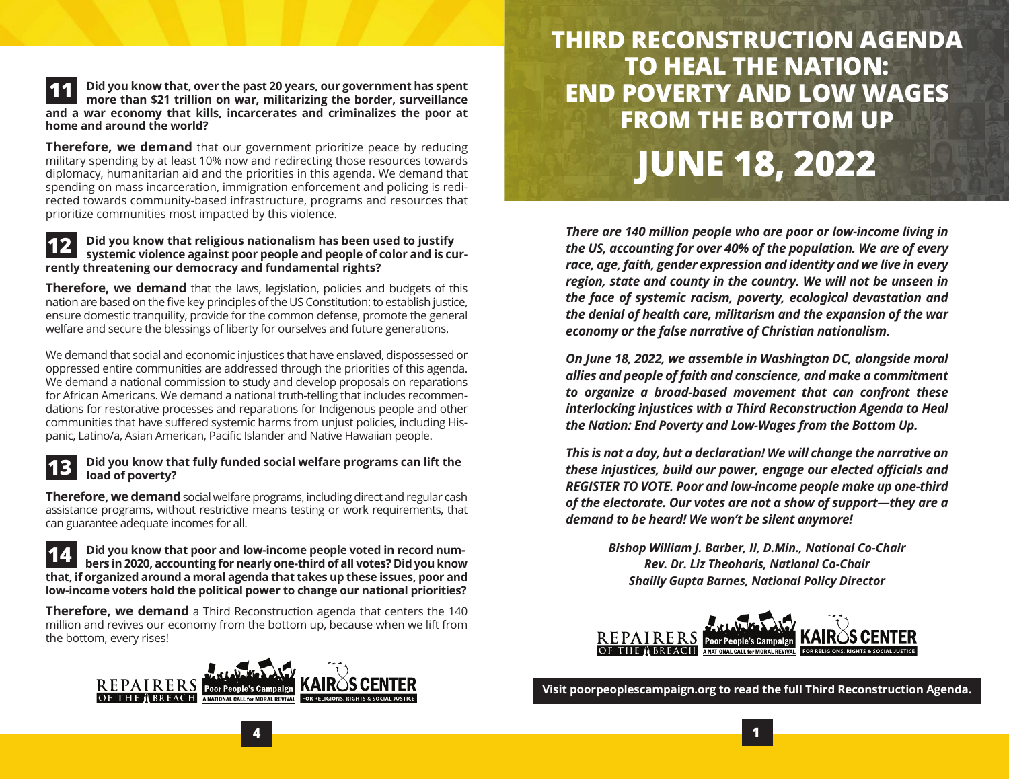#### **Did you know that, over the past 20 years, our government has spent more than \$21 trillion on war, militarizing the border, surveillance and a war economy that kills, incarcerates and criminalizes the poor at home and around the world? 11**

**Therefore, we demand** that our government prioritize peace by reducing military spending by at least 10% now and redirecting those resources towards diplomacy, humanitarian aid and the priorities in this agenda. We demand that spending on mass incarceration, immigration enforcement and policing is redirected towards community-based infrastructure, programs and resources that prioritize communities most impacted by this violence.

#### **Did you know that religious nationalism has been used to justify systemic violence against poor people and people of color and is currently threatening our democracy and fundamental rights? 12**

**Therefore, we demand** that the laws, legislation, policies and budgets of this nation are based on the five key principles of the US Constitution: to establish justice, ensure domestic tranquility, provide for the common defense, promote the general welfare and secure the blessings of liberty for ourselves and future generations.

We demand that social and economic injustices that have enslaved, dispossessed or oppressed entire communities are addressed through the priorities of this agenda. We demand a national commission to study and develop proposals on reparations for African Americans. We demand a national truth-telling that includes recommendations for restorative processes and reparations for Indigenous people and other communities that have suffered systemic harms from unjust policies, including Hispanic, Latino/a, Asian American, Pacific Islander and Native Hawaiian people.

#### **Did you know that fully funded social welfare programs can lift the load of poverty? 13**

**Therefore, we demand** social welfare programs, including direct and regular cash assistance programs, without restrictive means testing or work requirements, that can guarantee adequate incomes for all.

 **Did you know that poor and low-income people voted in record num bers in 2020, accounting for nearly one-third of all votes? Did you know that, if organized around a moral agenda that takes up these issues, poor and low-income voters hold the political power to change our national priorities? 14**

**Therefore, we demand** a Third Reconstruction agenda that centers the 140 million and revives our economy from the bottom up, because when we lift from the bottom, every rises!



**4**

# **THIRD RECONSTRUCTION AGENDA TO HEAL THE NATION: END POVERTY AND LOW WAGES FROM THE BOTTOM UP JUNE 18, 2022**

*There are 140 million people who are poor or low-income living in the US, accounting for over 40% of the population. We are of every race, age, faith, gender expression and identity and we live in every region, state and county in the country. We will not be unseen in the face of systemic racism, poverty, ecological devastation and the denial of health care, militarism and the expansion of the war economy or the false narrative of Christian nationalism.* 

*On June 18, 2022, we assemble in Washington DC, alongside moral allies and people of faith and conscience, and make a commitment to organize a broad-based movement that can confront these interlocking injustices with a Third Reconstruction Agenda to Heal the Nation: End Poverty and Low-Wages from the Bottom Up.* 

*This is not a day, but a declaration! We will change the narrative on these injustices, build our power, engage our elected officials and REGISTER TO VOTE. Poor and low-income people make up one-third of the electorate. Our votes are not a show of support—they are a demand to be heard! We won't be silent anymore!* 

> *Bishop William J. Barber, II, D.Min., National Co-Chair Rev. Dr. Liz Theoharis, National Co-Chair Shailly Gupta Barnes, National Policy Director*



**Visit poorpeoplescampaign.org to read the full Third Reconstruction Agenda.**

**1**